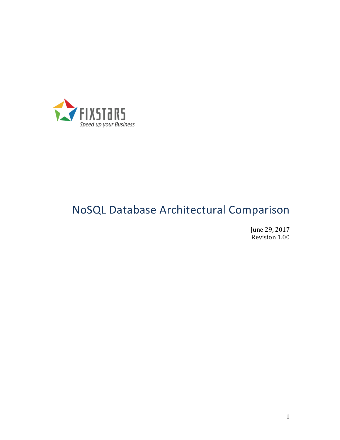

# NoSQL Database Architectural Comparison

June 29, 2017 Revision 1.00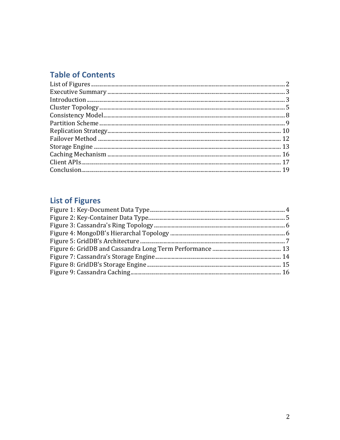# **Table of Contents**

# **List of Figures**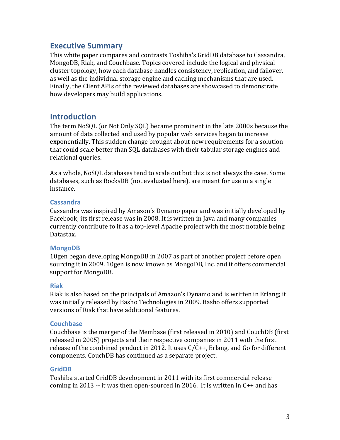### **Executive Summary**

This white paper compares and contrasts Toshiba's GridDB database to Cassandra, MongoDB, Riak, and Couchbase. Topics covered include the logical and physical cluster topology, how each database handles consistency, replication, and failover, as well as the individual storage engine and caching mechanisms that are used. Finally, the Client APIs of the reviewed databases are showcased to demonstrate how developers may build applications.

### **Introduction**

The term NoSQL (or Not Only SQL) became prominent in the late 2000s because the amount of data collected and used by popular web services began to increase exponentially. This sudden change brought about new requirements for a solution that could scale better than SQL databases with their tabular storage engines and relational queries.

As a whole, NoSQL databases tend to scale out but this is not always the case. Some databases, such as RocksDB (not evaluated here), are meant for use in a single instance. 

#### **Cassandra**

Cassandra was inspired by Amazon's Dynamo paper and was initially developed by Facebook; its first release was in 2008. It is written in Java and many companies currently contribute to it as a top-level Apache project with the most notable being Datastax. 

#### **MongoDB**

10gen began developing MongoDB in 2007 as part of another project before open sourcing it in 2009. 10gen is now known as MongoDB, Inc. and it offers commercial support for MongoDB.

#### **Riak**

Riak is also based on the principals of Amazon's Dynamo and is written in Erlang; it was initially released by Basho Technologies in 2009. Basho offers supported versions of Riak that have additional features.

#### **Couchbase**

Couchbase is the merger of the Membase (first released in 2010) and CouchDB (first released in 2005) projects and their respective companies in 2011 with the first release of the combined product in 2012. It uses  $C/C++$ , Erlang, and Go for different components. CouchDB has continued as a separate project.

#### **GridDB**

Toshiba started GridDB development in 2011 with its first commercial release coming in 2013 -- it was then open-sourced in 2016. It is written in  $C_{++}$  and has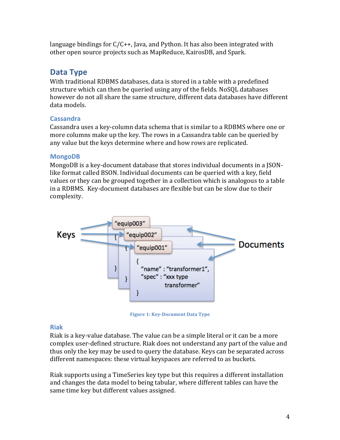language bindings for  $C/C++$ , Java, and Python. It has also been integrated with other open source projects such as MapReduce, KairosDB, and Spark.

# **Data Type**

With traditional RDBMS databases, data is stored in a table with a predefined structure which can then be queried using any of the fields. NoSOL databases however do not all share the same structure, different data databases have different data models.

### **Cassandra**

Cassandra uses a key-column data schema that is similar to a RDBMS where one or more columns make up the key. The rows in a Cassandra table can be queried by any value but the keys determine where and how rows are replicated.

### **MongoDB**

MongoDB is a key-document database that stores individual documents in a JSONlike format called BSON. Individual documents can be queried with a key, field values or they can be grouped together in a collection which is analogous to a table in a RDBMS. Key-document databases are flexible but can be slow due to their complexity. 



**Figure 1: Key-Document Data Type** 

### **Riak**

Riak is a key-value database. The value can be a simple literal or it can be a more complex user-defined structure. Riak does not understand any part of the value and thus only the key may be used to query the database. Keys can be separated across different namespaces: these virtual keyspaces are referred to as buckets.

Riak supports using a TimeSeries key type but this requires a different installation and changes the data model to being tabular, where different tables can have the same time key but different values assigned.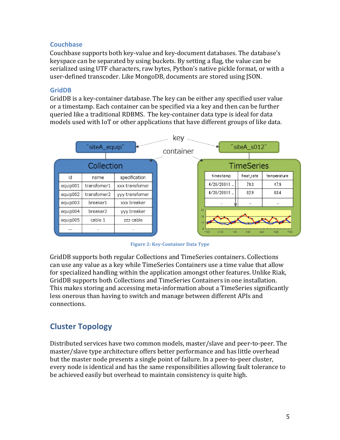#### **Couchbase**

Couchbase supports both key-value and key-document databases. The database's keyspace can be separated by using buckets. By setting a flag, the value can be serialized using UTF characters, raw bytes, Python's native pickle format, or with a user-defined transcoder. Like MongoDB, documents are stored using ISON.

#### **GridDB**

GridDB is a key-container database. The key can be either any specified user value or a timestamp. Each container can be specified via a key and then can be further queried like a traditional RDBMS. The key-container data type is ideal for data models used with IoT or other applications that have different groups of like data.



**Figure 2: Key-Container Data Type** 

GridDB supports both regular Collections and TimeSeries containers. Collections can use any value as a key while TimeSeries Containers use a time value that allow for specialized handling within the application amongst other features. Unlike Riak, GridDB supports both Collections and TimeSeries Containers in one installation. This makes storing and accessing meta-information about a TimeSeries significantly less onerous than having to switch and manage between different APIs and connections. 

# **Cluster Topology**

Distributed services have two common models, master/slave and peer-to-peer. The master/slave type architecture offers better performance and has little overhead but the master node presents a single point of failure. In a peer-to-peer cluster, every node is identical and has the same responsibilities allowing fault tolerance to be achieved easily but overhead to maintain consistency is quite high.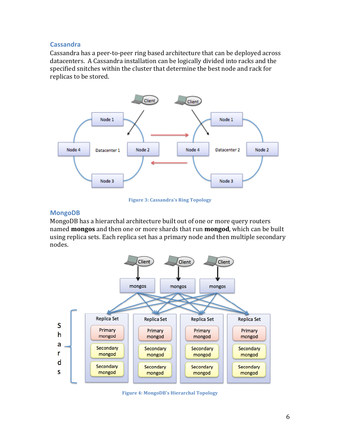#### **Cassandra**

Cassandra has a peer-to-peer ring based architecture that can be deployed across datacenters. A Cassandra installation can be logically divided into racks and the specified snitches within the cluster that determine the best node and rack for replicas to be stored.



**Figure 3: Cassandra's Ring Topology** 

#### **MongoDB**

MongoDB has a hierarchal architecture built out of one or more query routers named **mongos** and then one or more shards that run **mongod**, which can be built using replica sets. Each replica set has a primary node and then multiple secondary nodes. 



**Figure 4: MongoDB's Hierarchal Topology**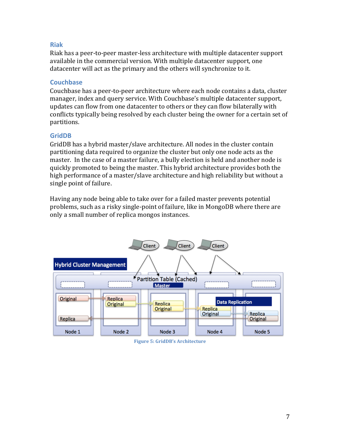#### **Riak**

Riak has a peer-to-peer master-less architecture with multiple datacenter support available in the commercial version. With multiple datacenter support, one datacenter will act as the primary and the others will synchronize to it.

#### **Couchbase**

Couchbase has a peer-to-peer architecture where each node contains a data, cluster manager, index and query service. With Couchbase's multiple datacenter support, updates can flow from one datacenter to others or they can flow bilaterally with conflicts typically being resolved by each cluster being the owner for a certain set of partitions. 

#### **GridDB**

GridDB has a hybrid master/slave architecture. All nodes in the cluster contain partitioning data required to organize the cluster but only one node acts as the master. In the case of a master failure, a bully election is held and another node is quickly promoted to being the master. This hybrid architecture provides both the high performance of a master/slave architecture and high reliability but without a single point of failure.

Having any node being able to take over for a failed master prevents potential problems, such as a risky single-point of failure, like in MongoDB where there are only a small number of replica mongos instances.



**Figure 5: GridDB's Architecture**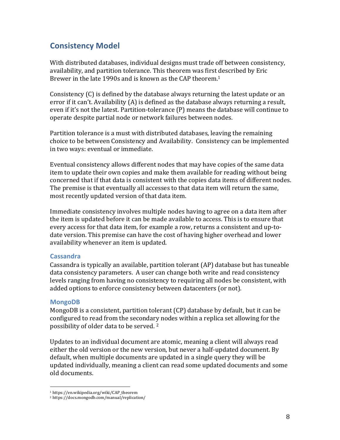## **Consistency Model**

With distributed databases, individual designs must trade off between consistency, availability, and partition tolerance. This theorem was first described by Eric Brewer in the late 1990s and is known as the CAP theorem.<sup>1</sup>

Consistency  $(C)$  is defined by the database always returning the latest update or an error if it can't. Availability  $(A)$  is defined as the database always returning a result, even if it's not the latest. Partition-tolerance (P) means the database will continue to operate despite partial node or network failures between nodes.

Partition tolerance is a must with distributed databases, leaving the remaining choice to be between Consistency and Availability. Consistency can be implemented in two ways: eventual or immediate.

Eventual consistency allows different nodes that may have copies of the same data item to update their own copies and make them available for reading without being concerned that if that data is consistent with the copies data items of different nodes. The premise is that eventually all accesses to that data item will return the same, most recently updated version of that data item.

Immediate consistency involves multiple nodes having to agree on a data item after the item is updated before it can be made available to access. This is to ensure that every access for that data item, for example a row, returns a consistent and up-todate version. This premise can have the cost of having higher overhead and lower availability whenever an item is updated.

#### **Cassandra**

Cassandra is typically an available, partition tolerant (AP) database but has tuneable data consistency parameters. A user can change both write and read consistency levels ranging from having no consistency to requiring all nodes be consistent, with added options to enforce consistency between datacenters (or not).

#### **MongoDB**

MongoDB is a consistent, partition tolerant (CP) database by default, but it can be configured to read from the secondary nodes within a replica set allowing for the possibility of older data to be served.<sup>2</sup>

Updates to an individual document are atomic, meaning a client will always read either the old version or the new version, but never a half-updated document. By default, when multiple documents are updated in a single query they will be updated individually, meaning a client can read some updated documents and some old documents.

<sup>1</sup> https://en.wikipedia.org/wiki/CAP\_theorem

<sup>2</sup> https://docs.mongodb.com/manual/replication/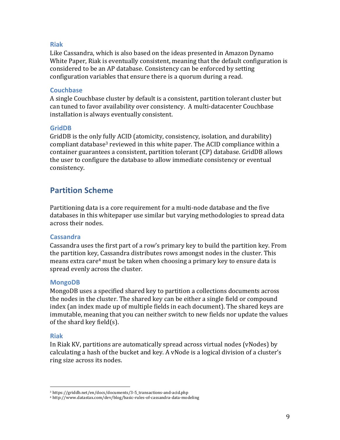#### **Riak**

Like Cassandra, which is also based on the ideas presented in Amazon Dynamo White Paper, Riak is eventually consistent, meaning that the default configuration is considered to be an AP database. Consistency can be enforced by setting configuration variables that ensure there is a quorum during a read.

#### **Couchbase**

A single Couchbase cluster by default is a consistent, partition tolerant cluster but can tuned to favor availability over consistency. A multi-datacenter Couchbase installation is always eventually consistent.

#### **GridDB**

GridDB is the only fully ACID (atomicity, consistency, isolation, and durability) compliant database<sup>3</sup> reviewed in this white paper. The ACID compliance within a container guarantees a consistent, partition tolerant (CP) database. GridDB allows the user to configure the database to allow immediate consistency or eventual consistency.

### **Partition Scheme**

Partitioning data is a core requirement for a multi-node database and the five databases in this whitepaper use similar but varying methodologies to spread data across their nodes.

#### **Cassandra**

Cassandra uses the first part of a row's primary key to build the partition key. From the partition key, Cassandra distributes rows amongst nodes in the cluster. This means extra care<sup>4</sup> must be taken when choosing a primary key to ensure data is spread evenly across the cluster.

#### **MongoDB**

MongoDB uses a specified shared key to partition a collections documents across the nodes in the cluster. The shared key can be either a single field or compound index (an index made up of multiple fields in each document). The shared keys are immutable, meaning that you can neither switch to new fields nor update the values of the shard key field(s).

#### **Riak**

In Riak KV, partitions are automatically spread across virtual nodes (vNodes) by calculating a hash of the bucket and key. A vNode is a logical division of a cluster's ring size across its nodes.

<sup>3</sup> https://griddb.net/en/docs/documents/3-5\_transactions-and-acid.php

<sup>4</sup> http://www.datastax.com/dev/blog/basic-rules-of-cassandra-data-modeling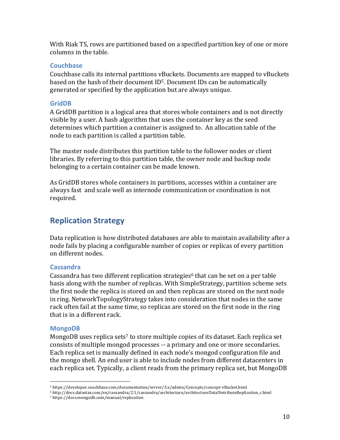With Riak TS, rows are partitioned based on a specified partition key of one or more columns in the table.

#### **Couchbase**

Couchbase calls its internal partitions vBuckets. Documents are mapped to vBuckets based on the hash of their document  $ID<sup>5</sup>$ . Document IDs can be automatically generated or specified by the application but are always unique.

#### **GridDB**

A GridDB partition is a logical area that stores whole containers and is not directly visible by a user. A hash algorithm that uses the container key as the seed determines which partition a container is assigned to. An allocation table of the node to each partition is called a partition table.

The master node distributes this partition table to the follower nodes or client libraries. By referring to this partition table, the owner node and backup node belonging to a certain container can be made known.

As GridDB stores whole containers in partitions, accesses within a container are always fast and scale well as internode communication or coordination is not required.

## **Replication Strategy**

Data replication is how distributed databases are able to maintain availability after a node fails by placing a configurable number of copies or replicas of every partition on different nodes.

#### **Cassandra**

Cassandra has two different replication strategies<sup>6</sup> that can be set on a per table basis along with the number of replicas. With SimpleStrategy, partition scheme sets the first node the replica is stored on and then replicas are stored on the next node in ring. NetworkTopologyStrategy takes into consideration that nodes in the same rack often fail at the same time, so replicas are stored on the first node in the ring that is in a different rack.

#### **MongoDB**

MongoDB uses replica sets<sup>7</sup> to store multiple copies of its dataset. Each replica set consists of multiple mongod processes -- a primary and one or more secondaries. Each replica set is manually defined in each node's mongod configuration file and the mongo shell. An end user is able to include nodes from different datacenters in each replica set. Typically, a client reads from the primary replica set, but MongoDB

<sup>5</sup> https://developer.couchbase.com/documentation/server/3.x/admin/Concepts/concept-vBucket.html

<sup>6</sup> http://docs.datastax.com/en/cassandra/2.1/cassandra/architecture/architectureDataDistributeReplication\_c.html

<sup>7</sup> https://docs.mongodb.com/manual/replication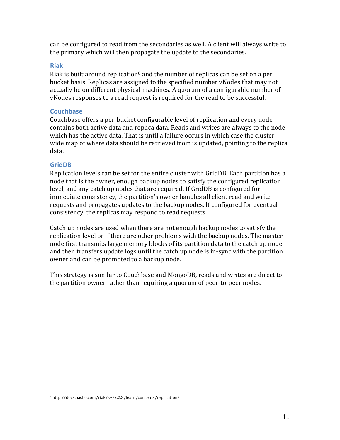can be configured to read from the secondaries as well. A client will always write to the primary which will then propagate the update to the secondaries.

#### **Riak**

Riak is built around replication<sup>8</sup> and the number of replicas can be set on a per bucket basis. Replicas are assigned to the specified number vNodes that may not actually be on different physical machines. A quorum of a configurable number of vNodes responses to a read request is required for the read to be successful.

#### **Couchbase**

Couchbase offers a per-bucket configurable level of replication and every node contains both active data and replica data. Reads and writes are always to the node which has the active data. That is until a failure occurs in which case the clusterwide map of where data should be retrieved from is updated, pointing to the replica data. 

#### **GridDB**

Replication levels can be set for the entire cluster with GridDB. Each partition has a node that is the owner, enough backup nodes to satisfy the configured replication level, and any catch up nodes that are required. If GridDB is configured for immediate consistency, the partition's owner handles all client read and write requests and propagates updates to the backup nodes. If configured for eventual consistency, the replicas may respond to read requests.

Catch up nodes are used when there are not enough backup nodes to satisfy the replication level or if there are other problems with the backup nodes. The master node first transmits large memory blocks of its partition data to the catch up node and then transfers update logs until the catch up node is in-sync with the partition owner and can be promoted to a backup node.

This strategy is similar to Couchbase and MongoDB, reads and writes are direct to the partition owner rather than requiring a quorum of peer-to-peer nodes.

<sup>8</sup> http://docs.basho.com/riak/kv/2.2.3/learn/concepts/replication/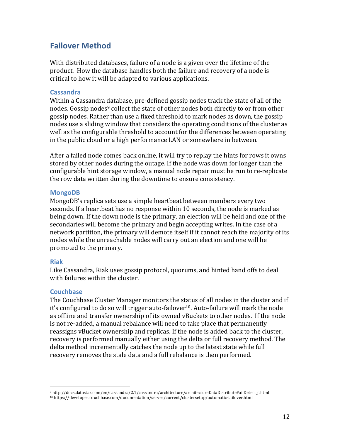## **Failover Method**

With distributed databases, failure of a node is a given over the lifetime of the product. How the database handles both the failure and recovery of a node is critical to how it will be adapted to various applications.

#### **Cassandra**

Within a Cassandra database, pre-defined gossip nodes track the state of all of the nodes. Gossip nodes<sup>9</sup> collect the state of other nodes both directly to or from other gossip nodes. Rather than use a fixed threshold to mark nodes as down, the gossip nodes use a sliding window that considers the operating conditions of the cluster as well as the configurable threshold to account for the differences between operating in the public cloud or a high performance LAN or somewhere in between.

After a failed node comes back online, it will try to replay the hints for rows it owns stored by other nodes during the outage. If the node was down for longer than the configurable hint storage window, a manual node repair must be run to re-replicate the row data written during the downtime to ensure consistency.

#### **MongoDB**

MongoDB's replica sets use a simple heartbeat between members every two seconds. If a heartbeat has no response within 10 seconds, the node is marked as being down. If the down node is the primary, an election will be held and one of the secondaries will become the primary and begin accepting writes. In the case of a network partition, the primary will demote itself if it cannot reach the majority of its nodes while the unreachable nodes will carry out an election and one will be promoted to the primary.

#### **Riak**

Like Cassandra, Riak uses gossip protocol, quorums, and hinted hand offs to deal with failures within the cluster.

#### **Couchbase**

 

The Couchbase Cluster Manager monitors the status of all nodes in the cluster and if it's configured to do so will trigger auto-failover<sup>10</sup>. Auto-failure will mark the node as offline and transfer ownership of its owned vBuckets to other nodes. If the node is not re-added, a manual rebalance will need to take place that permanently reassigns vBucket ownership and replicas. If the node is added back to the cluster, recovery is performed manually either using the delta or full recovery method. The delta method incrementally catches the node up to the latest state while full recovery removes the stale data and a full rebalance is then performed.

<sup>9</sup> http://docs.datastax.com/en/cassandra/2.1/cassandra/architecture/architectureDataDistributeFailDetect\_c.html

<sup>10</sup> https://developer.couchbase.com/documentation/server/current/clustersetup/automatic-failover.html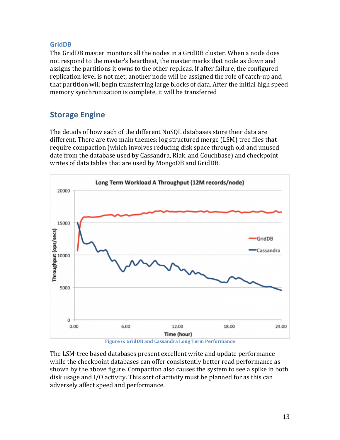#### **GridDB**

The GridDB master monitors all the nodes in a GridDB cluster. When a node does not respond to the master's heartbeat, the master marks that node as down and assigns the partitions it owns to the other replicas. If after failure, the configured replication level is not met, another node will be assigned the role of catch-up and that partition will begin transferring large blocks of data. After the initial high speed memory synchronization is complete, it will be transferred

# **Storage Engine**

The details of how each of the different NoSOL databases store their data are different. There are two main themes: log structured merge (LSM) tree files that require compaction (which involves reducing disk space through old and unused date from the database used by Cassandra, Riak, and Couchbase) and checkpoint writes of data tables that are used by MongoDB and GridDB.



**Figure 6: GridDB and Cassandra Long Term Performance** 

The LSM-tree based databases present excellent write and update performance while the checkpoint databases can offer consistently better read performance as shown by the above figure. Compaction also causes the system to see a spike in both disk usage and I/O activity. This sort of activity must be planned for as this can adversely affect speed and performance.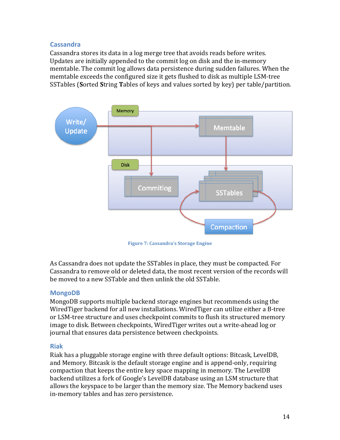#### **Cassandra**

Cassandra stores its data in a log merge tree that avoids reads before writes. Updates are initially appended to the commit log on disk and the in-memory memtable. The commit log allows data persistence during sudden failures. When the memtable exceeds the configured size it gets flushed to disk as multiple LSM-tree SSTables (Sorted String Tables of keys and values sorted by key) per table/partition.



**Figure 7: Cassandra's Storage Engine** 

As Cassandra does not update the SSTables in place, they must be compacted. For Cassandra to remove old or deleted data, the most recent version of the records will be moved to a new SSTable and then unlink the old SSTable.

#### **MongoDB**

MongoDB supports multiple backend storage engines but recommends using the WiredTiger backend for all new installations. WiredTiger can utilize either a B-tree or LSM-tree structure and uses checkpoint commits to flush its structured memory image to disk. Between checkpoints, WiredTiger writes out a write-ahead log or journal that ensures data persistence between checkpoints.

#### **Riak**

Riak has a pluggable storage engine with three default options: Bitcask, LevelDB, and Memory. Bitcask is the default storage engine and is append-only, requiring compaction that keeps the entire key space mapping in memory. The LevelDB backend utilizes a fork of Google's LevelDB database using an LSM structure that allows the keyspace to be larger than the memory size. The Memory backend uses in-memory tables and has zero persistence.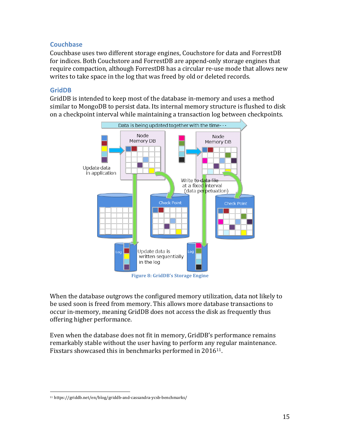#### **Couchbase**

Couchbase uses two different storage engines, Couchstore for data and ForrestDB for indices. Both Couchstore and ForrestDB are append-only storage engines that require compaction, although ForrestDB has a circular re-use mode that allows new writes to take space in the log that was freed by old or deleted records.

#### **GridDB**

GridDB is intended to keep most of the database in-memory and uses a method similar to MongoDB to persist data. Its internal memory structure is flushed to disk on a checkpoint interval while maintaining a transaction log between checkpoints.



When the database outgrows the configured memory utilization, data not likely to be used soon is freed from memory. This allows more database transactions to occur in-memory, meaning GridDB does not access the disk as frequently thus offering higher performance.

Even when the database does not fit in memory, GridDB's performance remains remarkably stable without the user having to perform any regular maintenance. Fixstars showcased this in benchmarks performed in  $2016^{11}$ .

 <sup>11</sup> https://griddb.net/en/blog/griddb-and-cassandra-ycsb-benchmarks/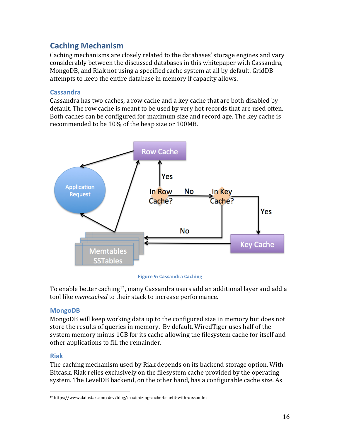# **Caching Mechanism**

Caching mechanisms are closely related to the databases' storage engines and vary considerably between the discussed databases in this whitepaper with Cassandra, MongoDB, and Riak not using a specified cache system at all by default. GridDB attempts to keep the entire database in memory if capacity allows.

#### **Cassandra**

Cassandra has two caches, a row cache and a key cache that are both disabled by default. The row cache is meant to be used by very hot records that are used often. Both caches can be configured for maximum size and record age. The key cache is recommended to be 10% of the heap size or 100MB.



**Figure 9: Cassandra Caching** 

To enable better caching<sup>12</sup>, many Cassandra users add an additional layer and add a tool like *memcached* to their stack to increase performance.

#### **MongoDB**

MongoDB will keep working data up to the configured size in memory but does not store the results of queries in memory. By default, WiredTiger uses half of the system memory minus 1GB for its cache allowing the filesystem cache for itself and other applications to fill the remainder.

#### **Riak**

The caching mechanism used by Riak depends on its backend storage option. With Bitcask, Riak relies exclusively on the filesystem cache provided by the operating system. The LevelDB backend, on the other hand, has a configurable cache size. As

<sup>12</sup> https://www.datastax.com/dev/blog/maximizing-cache-benefit-with-cassandra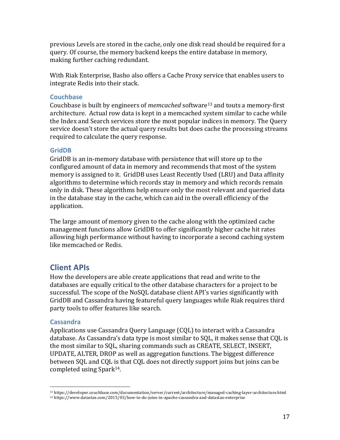previous Levels are stored in the cache, only one disk read should be required for a query. Of course, the memory backend keeps the entire database in memory, making further caching redundant.

With Riak Enterprise, Basho also offers a Cache Proxy service that enables users to integrate Redis into their stack.

#### **Couchbase**

Couchbase is built by engineers of *memcached* software<sup>13</sup> and touts a memory-first architecture. Actual row data is kept in a memcached system similar to cache while the Index and Search services store the most popular indices in memory. The Query service doesn't store the actual query results but does cache the processing streams required to calculate the query response.

#### **GridDB**

GridDB is an in-memory database with persistence that will store up to the configured amount of data in memory and recommends that most of the system memory is assigned to it. GridDB uses Least Recently Used (LRU) and Data affinity algorithms to determine which records stay in memory and which records remain only in disk. These algorithms help ensure only the most relevant and queried data in the database stay in the cache, which can aid in the overall efficiency of the application.

The large amount of memory given to the cache along with the optimized cache management functions allow GridDB to offer significantly higher cache hit rates allowing high performance without having to incorporate a second caching system like memcached or Redis.

### **Client APIs**

How the developers are able create applications that read and write to the databases are equally critical to the other database characters for a project to be successful. The scope of the NoSQL database client API's varies significantly with GridDB and Cassandra having featureful query languages while Riak requires third party tools to offer features like search.

#### **Cassandra**

 

Applications use Cassandra Query Language (CQL) to interact with a Cassandra database. As Cassandra's data type is most similar to SQL, it makes sense that CQL is the most similar to SOL, sharing commands such as CREATE, SELECT, INSERT, UPDATE, ALTER, DROP as well as aggregation functions. The biggest difference between SQL and CQL is that CQL does not directly support joins but joins can be completed using  $Spark<sup>14</sup>$ .

<sup>13</sup> https://developer.couchbase.com/documentation/server/current/architecture/managed-caching-layer-architecture.html

<sup>14</sup> https://www.datastax.com/2015/03/how-to-do-joins-in-apache-cassandra-and-datastax-enterprise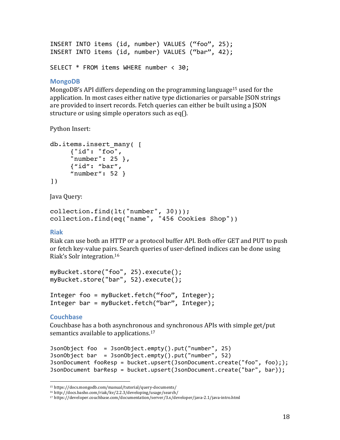```
INSERT INTO items (id, number) VALUES ("foo", 25);
INSERT INTO items (id, number) VALUES ("bar", 42);
```

```
SELECT * FROM items WHERE number < 30:
```
#### **MongoDB**

MongoDB's API differs depending on the programming language<sup>15</sup> used for the application. In most cases either native type dictionaries or parsable JSON strings are provided to insert records. Fetch queries can either be built using a ISON structure or using simple operators such as eq().

Python Insert:

```
db.items.insert_many( [ 
     {"id": "foo", 
     "number": 25 }, 
     {"id": "bar", 
     "number": 52 }
])
```
Java Query:

```
collection.find(lt("number", 30))); 
collection.find(eq("name", "456 Cookies Shop"))
```
#### **Riak**

Riak can use both an HTTP or a protocol buffer API. Both offer GET and PUT to push or fetch key-value pairs. Search queries of user-defined indices can be done using Riak's Solr integration.<sup>16</sup>

```
myBucket.store("foo",	25).execute();	
myBucket.store("bar", 52).execute();
```

```
Integer foo = myBucket.fetch("foo", Integer);
Integer bar = myBucket.fetch("bar", Integer);
```
#### **Couchbase**

Couchbase has a both asynchronous and synchronous APIs with simple get/put semantics available to applications. $17$ 

```
JsonObject	foo		=	JsonObject.empty().put("number",	25)
JsonObject	bar		=	JsonObject.empty().put("number",	52)
JsonDocument fooResp = bucket.upsert(JsonDocument.create("foo", foo););
JsonDocument barResp = bucket.upsert(JsonDocument.create("bar", bar));
```
<sup>15</sup> https://docs.mongodb.com/manual/tutorial/query-documents/

<sup>16</sup> http://docs.basho.com/riak/kv/2.2.3/developing/usage/search/

<sup>17</sup> https://developer.couchbase.com/documentation/server/3.x/developer/java-2.1/java-intro.html